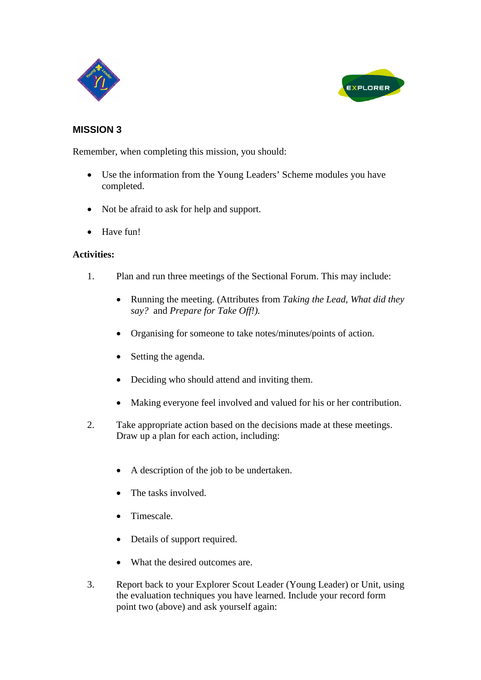



## **MISSION 3**

Remember, when completing this mission, you should:

- Use the information from the Young Leaders' Scheme modules you have completed.
- Not be afraid to ask for help and support.
- Have fun!

## **Activities:**

- 1. Plan and run three meetings of the Sectional Forum. This may include:
	- Running the meeting. (Attributes from *Taking the Lead, What did they say?* and *Prepare for Take Off!).*
	- Organising for someone to take notes/minutes/points of action.
	- Setting the agenda.
	- Deciding who should attend and inviting them.
	- Making everyone feel involved and valued for his or her contribution.
- 2. Take appropriate action based on the decisions made at these meetings. Draw up a plan for each action, including:
	- A description of the job to be undertaken.
	- The tasks involved.
	- Timescale.
	- Details of support required.
	- What the desired outcomes are.
- 3. Report back to your Explorer Scout Leader (Young Leader) or Unit, using the evaluation techniques you have learned. Include your record form point two (above) and ask yourself again: